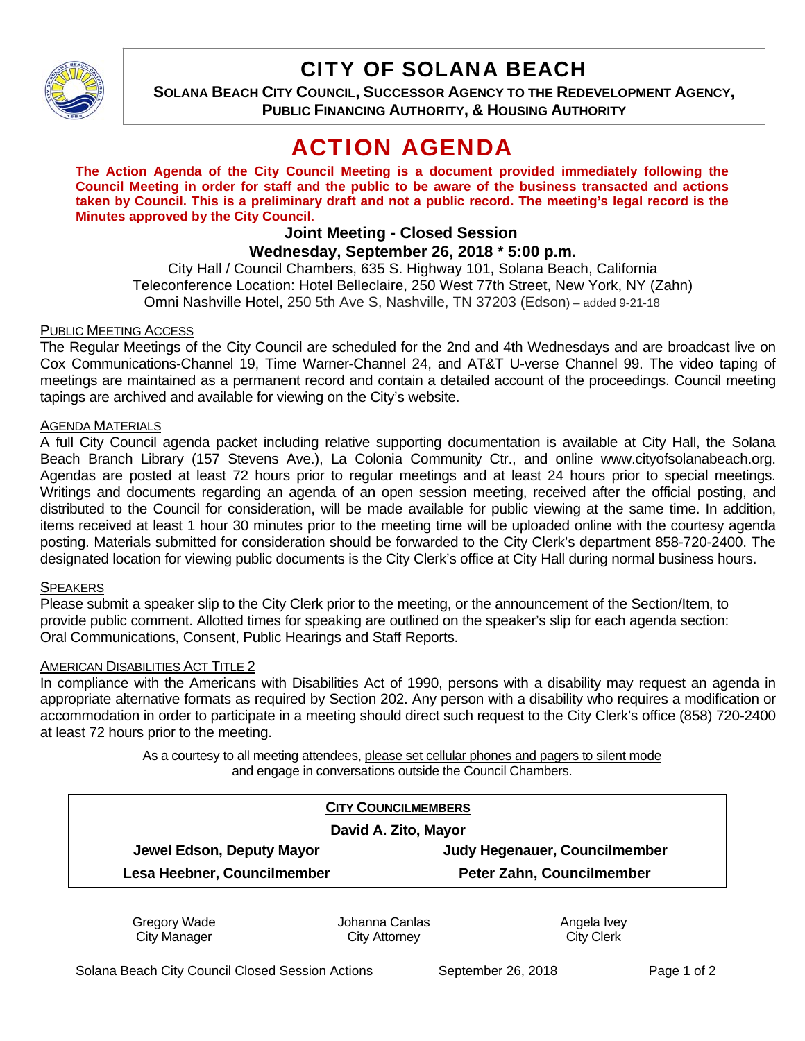

## CITY OF SOLANA BEACH

**SOLANA BEACH CITY COUNCIL, SUCCESSOR AGENCY TO THE REDEVELOPMENT AGENCY, PUBLIC FINANCING AUTHORITY, & HOUSING AUTHORITY** 

# ACTION AGENDA

**The Action Agenda of the City Council Meeting is a document provided immediately following the Council Meeting in order for staff and the public to be aware of the business transacted and actions taken by Council. This is a preliminary draft and not a public record. The meeting's legal record is the Minutes approved by the City Council.** 

### **Joint Meeting - Closed Session Wednesday, September 26, 2018 \* 5:00 p.m.**

City Hall / Council Chambers, 635 S. Highway 101, Solana Beach, California Teleconference Location: Hotel Belleclaire, 250 West 77th Street, New York, NY (Zahn) Omni Nashville Hotel, 250 5th Ave S, Nashville, TN 37203 (Edson) – added 9-21-18

## PUBLIC MEETING ACCESS

The Regular Meetings of the City Council are scheduled for the 2nd and 4th Wednesdays and are broadcast live on Cox Communications-Channel 19, Time Warner-Channel 24, and AT&T U-verse Channel 99. The video taping of meetings are maintained as a permanent record and contain a detailed account of the proceedings. Council meeting tapings are archived and available for viewing on the City's website.

## AGENDA MATERIALS

A full City Council agenda packet including relative supporting documentation is available at City Hall, the Solana Beach Branch Library (157 Stevens Ave.), La Colonia Community Ctr., and online www.cityofsolanabeach.org. Agendas are posted at least 72 hours prior to regular meetings and at least 24 hours prior to special meetings. Writings and documents regarding an agenda of an open session meeting, received after the official posting, and distributed to the Council for consideration, will be made available for public viewing at the same time. In addition, items received at least 1 hour 30 minutes prior to the meeting time will be uploaded online with the courtesy agenda posting. Materials submitted for consideration should be forwarded to the City Clerk's department 858-720-2400. The designated location for viewing public documents is the City Clerk's office at City Hall during normal business hours.

### **SPEAKERS**

Please submit a speaker slip to the City Clerk prior to the meeting, or the announcement of the Section/Item, to provide public comment. Allotted times for speaking are outlined on the speaker's slip for each agenda section: Oral Communications, Consent, Public Hearings and Staff Reports.

### AMERICAN DISABILITIES ACT TITLE 2

In compliance with the Americans with Disabilities Act of 1990, persons with a disability may request an agenda in appropriate alternative formats as required by Section 202. Any person with a disability who requires a modification or accommodation in order to participate in a meeting should direct such request to the City Clerk's office (858) 720-2400 at least 72 hours prior to the meeting.

> As a courtesy to all meeting attendees, please set cellular phones and pagers to silent mode and engage in conversations outside the Council Chambers.

| <b>CITY COUNCILMEMBERS</b>  |                               |
|-----------------------------|-------------------------------|
| David A. Zito, Mayor        |                               |
| Jewel Edson, Deputy Mayor   | Judy Hegenauer, Councilmember |
| Lesa Heebner, Councilmember | Peter Zahn, Councilmember     |
|                             |                               |

Gregory Wade City Manager

Johanna Canlas City Attorney